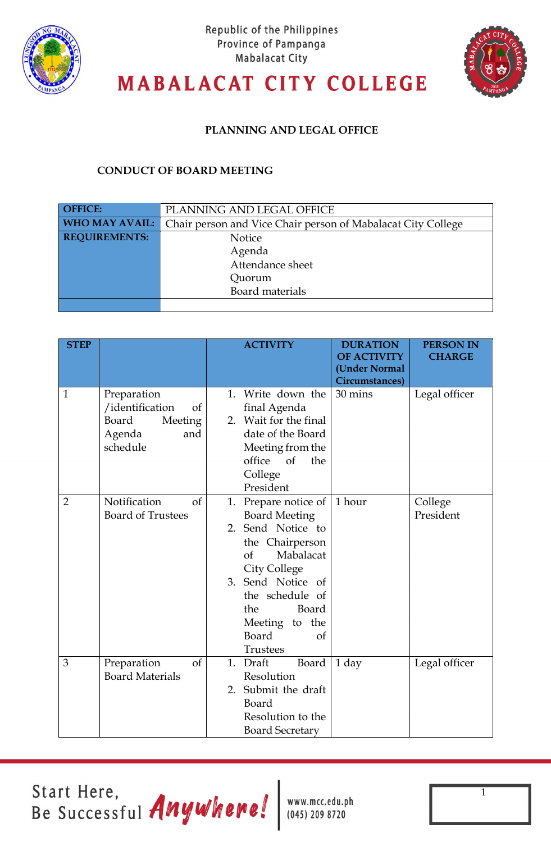



# **MABALACAT CITY COLLEGE**

### **PLANNING AND LEGAL OFFICE**

### **CONDUCT OF BOARD MEETING**

| <b>OFFICE:</b>        | PLANNING AND LEGAL OFFICE                                    |  |  |  |
|-----------------------|--------------------------------------------------------------|--|--|--|
| <b>WHO MAY AVAIL:</b> | Chair person and Vice Chair person of Mabalacat City College |  |  |  |
| <b>REQUIREMENTS:</b>  | Notice                                                       |  |  |  |
|                       | Agenda                                                       |  |  |  |
|                       | Attendance sheet                                             |  |  |  |
|                       | Quorum                                                       |  |  |  |
|                       | Board materials                                              |  |  |  |
|                       |                                                              |  |  |  |

| <b>STEP</b>    |                                                                                                  | <b>ACTIVITY</b>                                                                                                                                                                                                                                              | <b>DURATION</b><br><b>OF ACTIVITY</b><br>(Under Normal<br><b>Circumstances</b> ) | <b>PERSON IN</b><br><b>CHARGE</b> |
|----------------|--------------------------------------------------------------------------------------------------|--------------------------------------------------------------------------------------------------------------------------------------------------------------------------------------------------------------------------------------------------------------|----------------------------------------------------------------------------------|-----------------------------------|
| $\mathbf{1}$   | Preparation<br>/identification<br><sub>of</sub><br>Board<br>Meeting<br>Agenda<br>and<br>schedule | Write down the<br>1.<br>final Agenda<br>2. Wait for the final<br>date of the Board<br>Meeting from the<br>office<br>$\circ$ of<br>the<br>College<br>President                                                                                                | 30 mins                                                                          | Legal officer                     |
| $\overline{2}$ | Notification<br>$\sigma$<br><b>Board of Trustees</b>                                             | Prepare notice of   1 hour<br>1.<br><b>Board Meeting</b><br>2. Send Notice to<br>the Chairperson<br>Mabalacat<br>$\sigma$<br><b>City College</b><br>3. Send Notice of<br>the schedule of<br>the<br>Board<br>Meeting to the<br>Board<br>of<br><b>Trustees</b> |                                                                                  | College<br>President              |
| 3              | Preparation<br>of<br><b>Board Materials</b>                                                      | 1.<br>Draft<br>Board<br>Resolution<br>2. Submit the draft<br>Board<br>Resolution to the<br><b>Board Secretary</b>                                                                                                                                            | 1 day                                                                            | Legal officer                     |

Start Here,<br>Be Successful Anywhere!

www.mcc.edu.ph  $(045)$  209 8720

1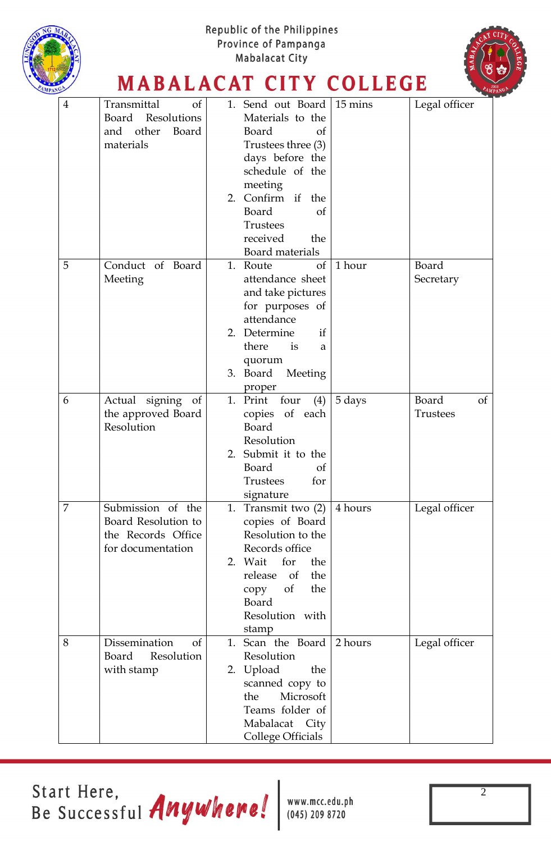

Start Here, Be Successful Anywhere!

www.mcc.edu.ph  $(045)$  209 8720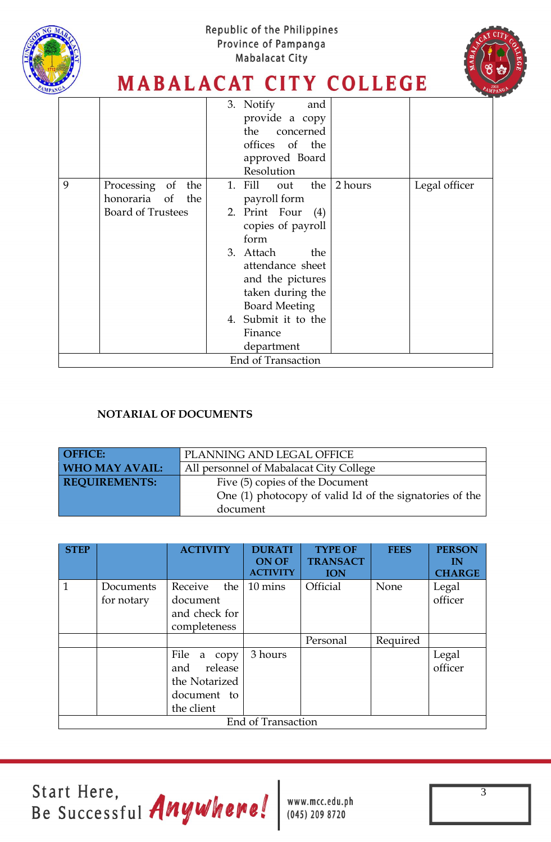![](_page_2_Picture_0.jpeg)

![](_page_2_Picture_2.jpeg)

### **MABALACAT CITY COLLEGE**

|                    |                          | 3. Notify<br>and                               |  |  |  |  |
|--------------------|--------------------------|------------------------------------------------|--|--|--|--|
|                    |                          | provide a copy                                 |  |  |  |  |
|                    |                          | the concerned                                  |  |  |  |  |
|                    |                          | offices of the                                 |  |  |  |  |
|                    |                          | approved Board                                 |  |  |  |  |
|                    |                          | Resolution                                     |  |  |  |  |
| 9                  | Processing of the        | Legal officer<br>1. Fill<br>out the<br>2 hours |  |  |  |  |
|                    | honoraria of the         | payroll form                                   |  |  |  |  |
|                    | <b>Board of Trustees</b> | 2. Print Four<br>(4)                           |  |  |  |  |
|                    |                          | copies of payroll                              |  |  |  |  |
|                    |                          | form                                           |  |  |  |  |
|                    |                          | 3. Attach<br>the                               |  |  |  |  |
|                    |                          | attendance sheet                               |  |  |  |  |
|                    |                          | and the pictures                               |  |  |  |  |
|                    |                          | taken during the                               |  |  |  |  |
|                    |                          | <b>Board Meeting</b>                           |  |  |  |  |
|                    |                          | 4. Submit it to the                            |  |  |  |  |
|                    |                          | Finance                                        |  |  |  |  |
|                    |                          | department                                     |  |  |  |  |
| End of Transaction |                          |                                                |  |  |  |  |

### **NOTARIAL OF DOCUMENTS**

| <b>OFFICE:</b>        | PLANNING AND LEGAL OFFICE                               |  |  |
|-----------------------|---------------------------------------------------------|--|--|
| <b>WHO MAY AVAIL:</b> | All personnel of Mabalacat City College                 |  |  |
| <b>REQUIREMENTS:</b>  | Five (5) copies of the Document                         |  |  |
|                       | One (1) photocopy of valid Id of the signatories of the |  |  |
|                       | document                                                |  |  |

| <b>STEP</b>               |                         | <b>ACTIVITY</b>                                                             | <b>DURATI</b><br><b>ON OF</b><br><b>ACTIVITY</b> | <b>TYPE OF</b><br><b>TRANSACT</b><br><b>ION</b> | <b>FEES</b> | <b>PERSON</b><br>IN<br><b>CHARGE</b> |  |
|---------------------------|-------------------------|-----------------------------------------------------------------------------|--------------------------------------------------|-------------------------------------------------|-------------|--------------------------------------|--|
| $\mathbf{1}$              | Documents<br>for notary | Receive<br>the<br>document<br>and check for<br>completeness                 | 10 mins                                          | Official                                        | None        | Legal<br>officer                     |  |
|                           |                         |                                                                             |                                                  | Personal                                        | Required    |                                      |  |
|                           |                         | File a copy<br>release<br>and<br>the Notarized<br>document to<br>the client | 3 hours                                          |                                                 |             | Legal<br>officer                     |  |
| <b>End of Transaction</b> |                         |                                                                             |                                                  |                                                 |             |                                      |  |

Start Here,<br>Be Successful Anywhene!

www.mcc.edu.ph<br>(045) 209 8720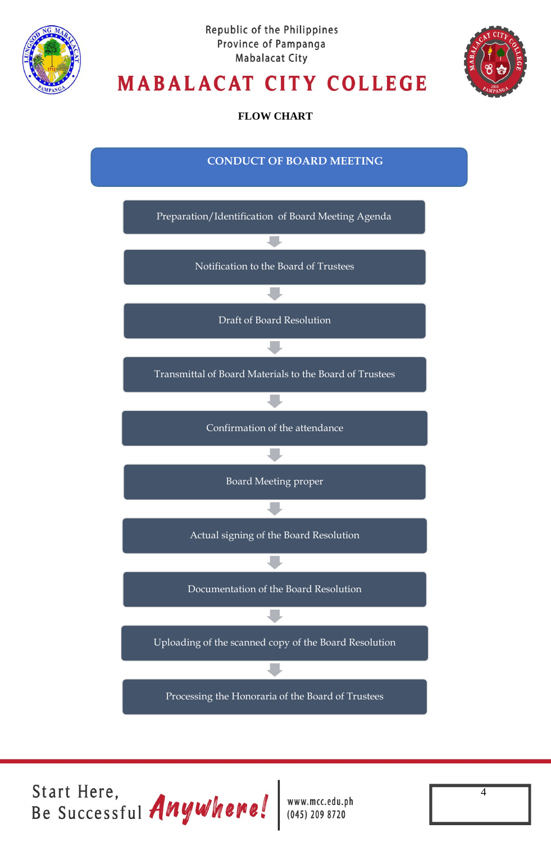![](_page_3_Picture_0.jpeg)

![](_page_3_Picture_2.jpeg)

# **MABALACAT CITY COLLEGE**

**FLOW CHART**

![](_page_3_Figure_5.jpeg)

Start Here,<br>Be Successful Anywhere!

www.mcc.edu.ph  $(045)$  209 8720